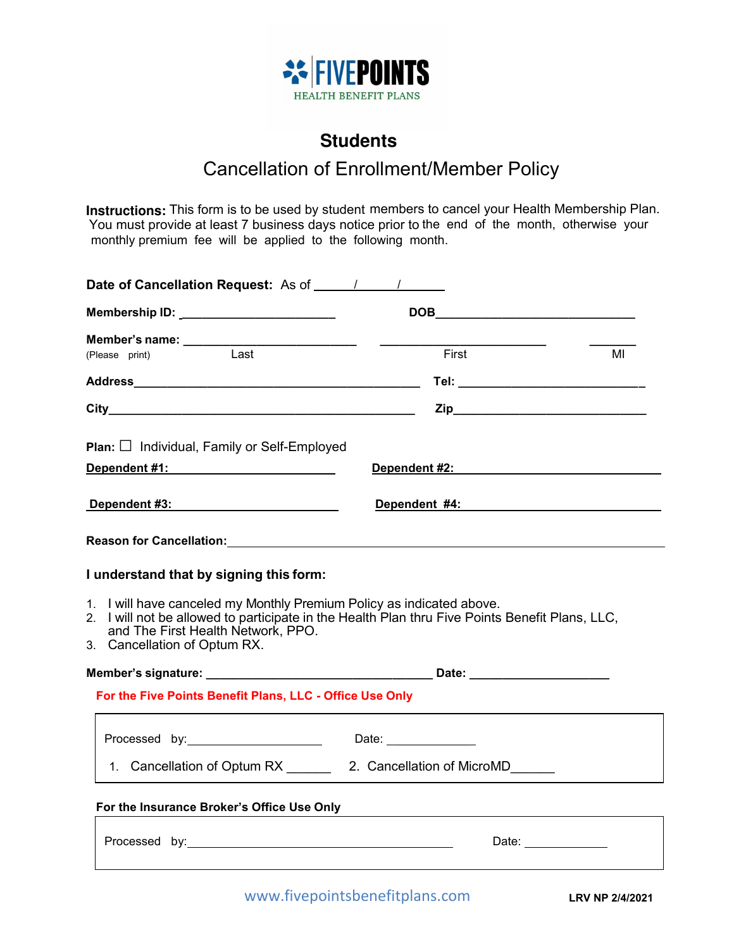

# **Students**

### Cancellation of Enrollment/Member Policy

**Instructions:** This form is to be used by student members to cancel your Health Membership Plan. You must provide at least 7 business days notice prior to the end of the month, otherwise your monthly premium fee will be applied to the following month.

| Membership ID: _________________________                                                                                                                                                                                                       |                                                        |                                                        |
|------------------------------------------------------------------------------------------------------------------------------------------------------------------------------------------------------------------------------------------------|--------------------------------------------------------|--------------------------------------------------------|
|                                                                                                                                                                                                                                                | First                                                  | MI                                                     |
|                                                                                                                                                                                                                                                |                                                        |                                                        |
|                                                                                                                                                                                                                                                |                                                        |                                                        |
| <b>Plan:</b> $\Box$ Individual, Family or Self-Employed                                                                                                                                                                                        |                                                        |                                                        |
|                                                                                                                                                                                                                                                |                                                        |                                                        |
| Dependent #3: Network and Dependent #3:                                                                                                                                                                                                        | Dependent #4: Dependent #4:                            |                                                        |
| Reason for Cancellation: Network and Cancel and Cancel and Cancel and Cancel and Cancel and Cancel and Cancel and                                                                                                                              |                                                        |                                                        |
| I understand that by signing this form:                                                                                                                                                                                                        |                                                        |                                                        |
| 1. I will have canceled my Monthly Premium Policy as indicated above.<br>2. I will not be allowed to participate in the Health Plan thru Five Points Benefit Plans, LLC,<br>and The First Health Network, PPO.<br>3. Cancellation of Optum RX. |                                                        |                                                        |
|                                                                                                                                                                                                                                                |                                                        |                                                        |
| For the Five Points Benefit Plans, LLC - Office Use Only                                                                                                                                                                                       |                                                        |                                                        |
|                                                                                                                                                                                                                                                |                                                        |                                                        |
|                                                                                                                                                                                                                                                | 1. Cancellation of Optum RX 2. Cancellation of MicroMD |                                                        |
| For the Insurance Broker's Office Use Only <b>Container the Insurance Broker's Office Use Only</b>                                                                                                                                             |                                                        |                                                        |
|                                                                                                                                                                                                                                                |                                                        | Date: $\frac{1}{\sqrt{1-\frac{1}{2}}\cdot\frac{1}{2}}$ |
|                                                                                                                                                                                                                                                |                                                        |                                                        |